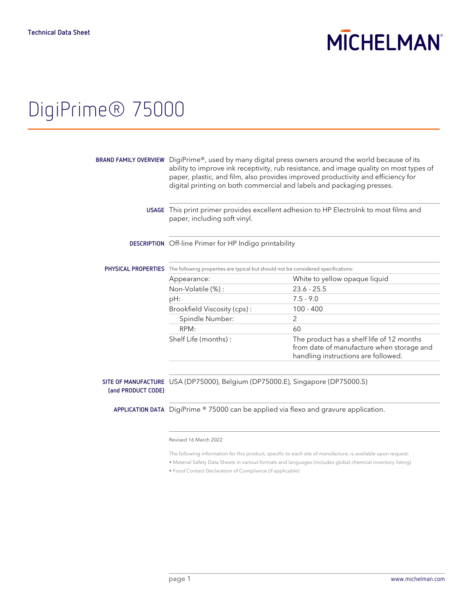# **MICHELMAN**

# DigiPrime® 75000

|                    | BRAND FAMILY OVERVIEW $\,$ DigiPrime®, used by many digital press owners around the world because of its<br>ability to improve ink receptivity, rub resistance, and image quality on most types of<br>paper, plastic, and film, also provides improved productivity and efficiency for<br>digital printing on both commercial and labels and packaging presses. |                                                                                                                               |  |
|--------------------|-----------------------------------------------------------------------------------------------------------------------------------------------------------------------------------------------------------------------------------------------------------------------------------------------------------------------------------------------------------------|-------------------------------------------------------------------------------------------------------------------------------|--|
|                    | USAGE This print primer provides excellent adhesion to HP Electrolnk to most films and<br>paper, including soft vinyl.                                                                                                                                                                                                                                          |                                                                                                                               |  |
|                    | <b>DESCRIPTION</b> Off-line Primer for HP Indigo printability                                                                                                                                                                                                                                                                                                   |                                                                                                                               |  |
|                    | <b>PHYSICAL PROPERTIES</b> The following properties are typical but should not be considered specifications:                                                                                                                                                                                                                                                    |                                                                                                                               |  |
|                    | Appearance:                                                                                                                                                                                                                                                                                                                                                     | White to yellow opaque liquid                                                                                                 |  |
|                    | Non-Volatile (%):                                                                                                                                                                                                                                                                                                                                               | $23.6 - 25.5$                                                                                                                 |  |
|                    | pH:                                                                                                                                                                                                                                                                                                                                                             | $7.5 - 9.0$                                                                                                                   |  |
|                    | Brookfield Viscosity (cps):                                                                                                                                                                                                                                                                                                                                     | $100 - 400$                                                                                                                   |  |
|                    | Spindle Number:                                                                                                                                                                                                                                                                                                                                                 | $\mathcal{P}$                                                                                                                 |  |
|                    | RPM:                                                                                                                                                                                                                                                                                                                                                            | 60                                                                                                                            |  |
|                    | Shelf Life (months):                                                                                                                                                                                                                                                                                                                                            | The product has a shelf life of 12 months<br>from date of manufacture when storage and<br>handling instructions are followed. |  |
|                    |                                                                                                                                                                                                                                                                                                                                                                 |                                                                                                                               |  |
| (and PRODUCT CODE) | SITE OF MANUFACTURE USA (DP75000), Belgium (DP75000.E), Singapore (DP75000.S)                                                                                                                                                                                                                                                                                   |                                                                                                                               |  |
|                    | <b>APPLICATION DATA</b> DigiPrime $\textdegree$ 75000 can be applied via flexo and gravure application.                                                                                                                                                                                                                                                         |                                                                                                                               |  |

### Revised 16 March 2022

The following information for this product, specific to each site of manufacture, is available upon request:

- Material Safety Data Sheets in various formats and languages (includes global chemical inventory listing)
- Food Contact Declaration of Compliance (if applicable)